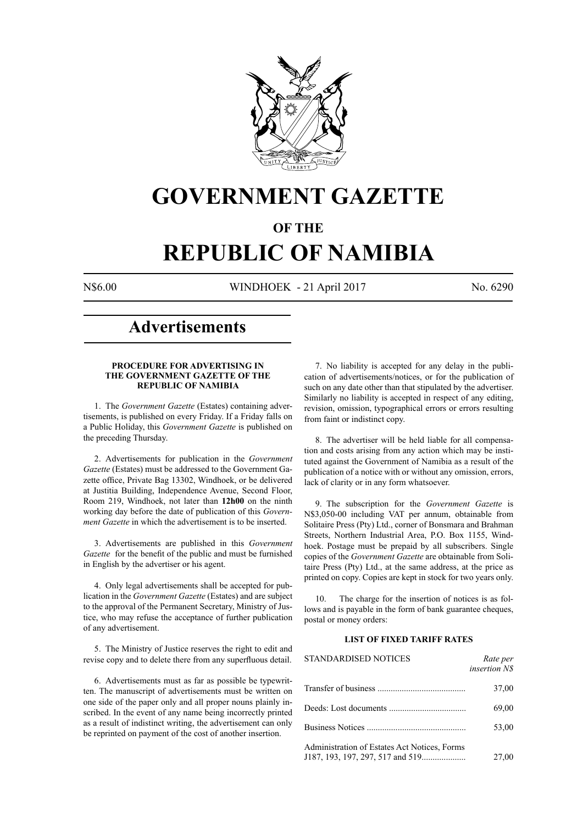

# **GOVERNMENT GAZETTE**

# **OF THE**

# **REPUBLIC OF NAMIBIA**

N\$6.00 WINDHOEK - 21 April 2017 No. 6290

# **Advertisements**

# **PROCEDURE FOR ADVERTISING IN THE GOVERNMENT GAZETTE OF THE REPUBLIC OF NAMIBIA**

1. The *Government Gazette* (Estates) containing advertisements, is published on every Friday. If a Friday falls on a Public Holiday, this *Government Gazette* is published on the preceding Thursday.

2. Advertisements for publication in the *Government Gazette* (Estates) must be addressed to the Government Gazette office, Private Bag 13302, Windhoek, or be delivered at Justitia Building, Independence Avenue, Second Floor, Room 219, Windhoek, not later than **12h00** on the ninth working day before the date of publication of this *Government Gazette* in which the advertisement is to be inserted.

3. Advertisements are published in this *Government Gazette* for the benefit of the public and must be furnished in English by the advertiser or his agent.

4. Only legal advertisements shall be accepted for publication in the *Government Gazette* (Estates) and are subject to the approval of the Permanent Secretary, Ministry of Justice, who may refuse the acceptance of further publication of any advertisement.

5. The Ministry of Justice reserves the right to edit and revise copy and to delete there from any superfluous detail.

6. Advertisements must as far as possible be typewritten. The manuscript of advertisements must be written on one side of the paper only and all proper nouns plainly inscribed. In the event of any name being incorrectly printed as a result of indistinct writing, the advertisement can only be reprinted on payment of the cost of another insertion.

7. No liability is accepted for any delay in the publication of advertisements/notices, or for the publication of such on any date other than that stipulated by the advertiser. Similarly no liability is accepted in respect of any editing, revision, omission, typographical errors or errors resulting from faint or indistinct copy.

8. The advertiser will be held liable for all compensation and costs arising from any action which may be instituted against the Government of Namibia as a result of the publication of a notice with or without any omission, errors, lack of clarity or in any form whatsoever.

9. The subscription for the *Government Gazette* is N\$3,050-00 including VAT per annum, obtainable from Solitaire Press (Pty) Ltd., corner of Bonsmara and Brahman Streets, Northern Industrial Area, P.O. Box 1155, Windhoek. Postage must be prepaid by all subscribers. Single copies of the *Government Gazette* are obtainable from Solitaire Press (Pty) Ltd., at the same address, at the price as printed on copy. Copies are kept in stock for two years only.

10. The charge for the insertion of notices is as follows and is payable in the form of bank guarantee cheques, postal or money orders:

# **LIST OF FIXED TARIFF RATES**

| <b>STANDARDISED NOTICES</b>                  | Rate per<br><i>insertion NS</i> |
|----------------------------------------------|---------------------------------|
|                                              | 37,00                           |
|                                              | 69,00                           |
|                                              | 53,00                           |
| Administration of Estates Act Notices, Forms | 27,00                           |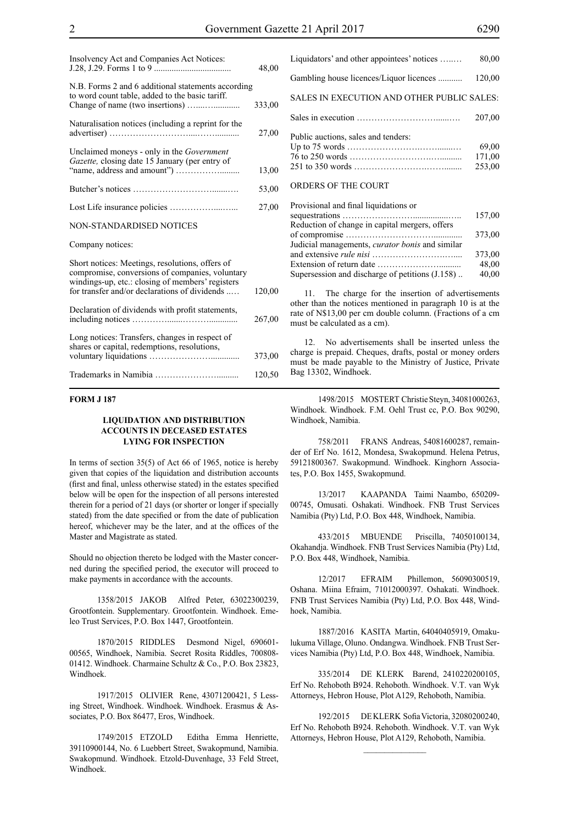| Insolvency Act and Companies Act Notices:                                                                                                                                                               | 48,00  |
|---------------------------------------------------------------------------------------------------------------------------------------------------------------------------------------------------------|--------|
| N.B. Forms 2 and 6 additional statements according<br>to word count table, added to the basic tariff.                                                                                                   | 333,00 |
| Naturalisation notices (including a reprint for the                                                                                                                                                     | 27,00  |
| Unclaimed moneys - only in the Government<br>Gazette, closing date 15 January (per entry of                                                                                                             | 13,00  |
|                                                                                                                                                                                                         | 53,00  |
|                                                                                                                                                                                                         | 27,00  |
| NON-STANDARDISED NOTICES                                                                                                                                                                                |        |
| Company notices:                                                                                                                                                                                        |        |
| Short notices: Meetings, resolutions, offers of<br>compromise, conversions of companies, voluntary<br>windings-up, etc.: closing of members' registers<br>for transfer and/or declarations of dividends | 120,00 |
| Declaration of dividends with profit statements,                                                                                                                                                        | 267,00 |
| Long notices: Transfers, changes in respect of<br>shares or capital, redemptions, resolutions,                                                                                                          | 373,00 |
|                                                                                                                                                                                                         | 120,50 |

# **FORM J 187**

# **LIQUIDATION AND DISTRIBUTION ACCOUNTS IN DECEASED ESTATES LYING FOR INSPECTION**

In terms of section 35(5) of Act 66 of 1965, notice is hereby given that copies of the liquidation and distribution accounts (first and final, unless otherwise stated) in the estates specified below will be open for the inspection of all persons interested therein for a period of 21 days (or shorter or longer if specially stated) from the date specified or from the date of publication hereof, whichever may be the later, and at the offices of the Master and Magistrate as stated.

Should no objection thereto be lodged with the Master concerned during the specified period, the executor will proceed to make payments in accordance with the accounts.

1358/2015 JAKOB Alfred Peter, 63022300239, Grootfontein. Supplementary. Grootfontein. Windhoek. Emeleo Trust Services, P.O. Box 1447, Grootfontein.

1870/2015 RIDDLES Desmond Nigel, 690601- 00565, Windhoek, Namibia. Secret Rosita Riddles, 700808- 01412. Windhoek. Charmaine Schultz & Co., P.O. Box 23823, Windhoek.

1917/2015 OLIVIER Rene, 43071200421, 5 Lessing Street, Windhoek. Windhoek. Windhoek. Erasmus & Associates, P.O. Box 86477, Eros, Windhoek.

1749/2015 ETZOLD Editha Emma Henriette, 39110900144, No. 6 Luebbert Street, Swakopmund, Namibia. Swakopmund. Windhoek. Etzold-Duvenhage, 33 Feld Street, Windhoek.

| Liquidators' and other appointees' notices | 80,00                     |
|--------------------------------------------|---------------------------|
| Gambling house licences/Liquor licences    | 120,00                    |
| SALES IN EXECUTION AND OTHER PUBLIC SALES: |                           |
|                                            | 207,00                    |
| Public auctions, sales and tenders:        | 69,00<br>171,00<br>253,00 |
| ORDERS OF THE COURT                        |                           |

| Provisional and final liquidations or           |        |
|-------------------------------------------------|--------|
|                                                 | 157,00 |
| Reduction of change in capital mergers, offers  |        |
|                                                 | 373.00 |
| Judicial managements, curator bonis and similar |        |
|                                                 | 373,00 |
|                                                 | 48,00  |
| Supersession and discharge of petitions (J.158) | 40,00  |
|                                                 |        |

The charge for the insertion of advertisements other than the notices mentioned in paragraph 10 is at the rate of N\$13,00 per cm double column. (Fractions of a cm must be calculated as a cm).

12. No advertisements shall be inserted unless the charge is prepaid. Cheques, drafts, postal or money orders must be made payable to the Ministry of Justice, Private Bag 13302, Windhoek.

1498/2015 MOSTERT Christie Steyn, 34081000263, Windhoek. Windhoek. F.M. Oehl Trust cc, P.O. Box 90290, Windhoek, Namibia.

758/2011 FRANS Andreas, 54081600287, remainder of Erf No. 1612, Mondesa, Swakopmund. Helena Petrus, 59121800367. Swakopmund. Windhoek. Kinghorn Associates, P.O. Box 1455, Swakopmund.

13/2017 KAAPANDA Taimi Naambo, 650209- 00745, Omusati. Oshakati. Windhoek. FNB Trust Services Namibia (Pty) Ltd, P.O. Box 448, Windhoek, Namibia.

433/2015 MBUENDE Priscilla, 74050100134, Okahandja. Windhoek. FNB Trust Services Namibia (Pty) Ltd, P.O. Box 448, Windhoek, Namibia.

12/2017 EFRAIM Phillemon, 56090300519, Oshana. Miina Efraim, 71012000397. Oshakati. Windhoek. FNB Trust Services Namibia (Pty) Ltd, P.O. Box 448, Windhoek, Namibia.

1887/2016 KASITA Martin, 64040405919, Omakulukuma Village, Oluno. Ondangwa. Windhoek. FNB Trust Services Namibia (Pty) Ltd, P.O. Box 448, Windhoek, Namibia.

335/2014 DE KLERK Barend, 2410220200105, Erf No. Rehoboth B924. Rehoboth. Windhoek. V.T. van Wyk Attorneys, Hebron House, Plot A129, Rehoboth, Namibia.

192/2015 DE KLERK Sofia Victoria, 32080200240, Erf No. Rehoboth B924. Rehoboth. Windhoek. V.T. van Wyk Attorneys, Hebron House, Plot A129, Rehoboth, Namibia.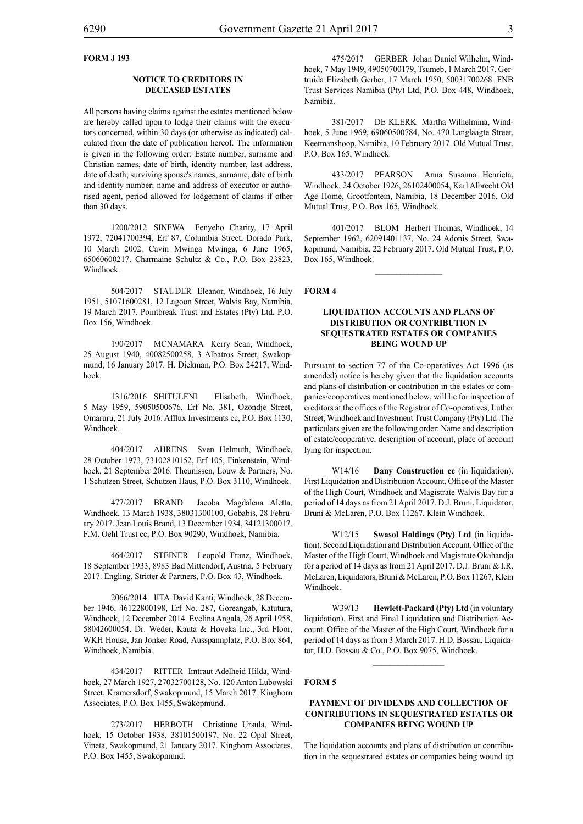# **FORM J 193**

# **NOTICE TO CREDITORS IN DECEASED ESTATES**

All persons having claims against the estates mentioned below are hereby called upon to lodge their claims with the executors concerned, within 30 days (or otherwise as indicated) calculated from the date of publication hereof. The information is given in the following order: Estate number, surname and Christian names, date of birth, identity number, last address, date of death; surviving spouse's names, surname, date of birth and identity number; name and address of executor or authorised agent, period allowed for lodgement of claims if other than 30 days.

1200/2012 SINFWA Fenyeho Charity, 17 April 1972, 72041700394, Erf 87, Columbia Street, Dorado Park, 10 March 2002. Cavin Mwinga Mwinga, 6 June 1965, 65060600217. Charmaine Schultz & Co., P.O. Box 23823, Windhoek.

504/2017 STAUDER Eleanor, Windhoek, 16 July 1951, 51071600281, 12 Lagoon Street, Walvis Bay, Namibia, 19 March 2017. Pointbreak Trust and Estates (Pty) Ltd, P.O. Box 156, Windhoek.

190/2017 MCNAMARA Kerry Sean, Windhoek, 25 August 1940, 40082500258, 3 Albatros Street, Swakopmund, 16 January 2017. H. Diekman, P.O. Box 24217, Windhoek.

1316/2016 SHITULENI Elisabeth, Windhoek, 5 May 1959, 59050500676, Erf No. 381, Ozondje Street, Omaruru, 21 July 2016. Afflux Investments cc, P.O. Box 1130, Windhoek.

404/2017 AHRENS Sven Helmuth, Windhoek, 28 October 1973, 73102810152, Erf 105, Finkenstein, Windhoek, 21 September 2016. Theunissen, Louw & Partners, No. 1 Schutzen Street, Schutzen Haus, P.O. Box 3110, Windhoek.

477/2017 BRAND Jacoba Magdalena Aletta, Windhoek, 13 March 1938, 38031300100, Gobabis, 28 February 2017. Jean Louis Brand, 13 December 1934, 34121300017. F.M. Oehl Trust cc, P.O. Box 90290, Windhoek, Namibia.

464/2017 STEINER Leopold Franz, Windhoek, 18 September 1933, 8983 Bad Mittendorf, Austria, 5 February 2017. Engling, Stritter & Partners, P.O. Box 43, Windhoek.

2066/2014 IITA David Kanti, Windhoek, 28 December 1946, 46122800198, Erf No. 287, Goreangab, Katutura, Windhoek, 12 December 2014. Evelina Angala, 26 April 1958, 58042600054. Dr. Weder, Kauta & Hoveka Inc., 3rd Floor, WKH House, Jan Jonker Road, Ausspannplatz, P.O. Box 864, Windhoek, Namibia.

434/2017 RITTER Imtraut Adelheid Hilda, Windhoek, 27 March 1927, 27032700128, No. 120 Anton Lubowski Street, Kramersdorf, Swakopmund, 15 March 2017. Kinghorn Associates, P.O. Box 1455, Swakopmund.

273/2017 HERBOTH Christiane Ursula, Windhoek, 15 October 1938, 38101500197, No. 22 Opal Street, Vineta, Swakopmund, 21 January 2017. Kinghorn Associates, P.O. Box 1455, Swakopmund.

475/2017 GERBER Johan Daniel Wilhelm, Windhoek, 7 May 1949, 49050700179, Tsumeb, 1 March 2017. Gertruida Elizabeth Gerber, 17 March 1950, 50031700268. FNB Trust Services Namibia (Pty) Ltd, P.O. Box 448, Windhoek, Namibia.

381/2017 DE KLERK Martha Wilhelmina, Windhoek, 5 June 1969, 69060500784, No. 470 Langlaagte Street, Keetmanshoop, Namibia, 10 February 2017. Old Mutual Trust, P.O. Box 165, Windhoek.

433/2017 PEARSON Anna Susanna Henrieta, Windhoek, 24 October 1926, 26102400054, Karl Albrecht Old Age Home, Grootfontein, Namibia, 18 December 2016. Old Mutual Trust, P.O. Box 165, Windhoek.

401/2017 BLOM Herbert Thomas, Windhoek, 14 September 1962, 62091401137, No. 24 Adonis Street, Swakopmund, Namibia, 22 February 2017. Old Mutual Trust, P.O. Box 165, Windhoek.

 $\frac{1}{2}$ 

#### **FORM 4**

# **LIQUIDATION ACCOUNTS AND PLANS OF DISTRIBUTION OR CONTRIBUTION IN SEQUESTRATED ESTATES OR COMPANIES BEING WOUND UP**

Pursuant to section 77 of the Co-operatives Act 1996 (as amended) notice is hereby given that the liquidation accounts and plans of distribution or contribution in the estates or companies/cooperatives mentioned below, will lie for inspection of creditors at the offices of the Registrar of Co-operatives, Luther Street, Windhoek and Investment Trust Company (Pty) Ltd .The particulars given are the following order: Name and description of estate/cooperative, description of account, place of account lying for inspection.

W14/16 **Dany Construction cc** (in liquidation). First Liquidation and Distribution Account. Office of the Master of the High Court, Windhoek and Magistrate Walvis Bay for a period of 14 days as from 21 April 2017. D.J. Bruni, Liquidator, Bruni & McLaren, P.O. Box 11267, Klein Windhoek.

W12/15 **Swasol Holdings (Pty) Ltd** (in liquidation). Second Liquidation and Distribution Account. Office of the Master of the High Court, Windhoek and Magistrate Okahandja for a period of 14 days as from 21 April 2017. D.J. Bruni & I.R. McLaren, Liquidators, Bruni & McLaren, P.O. Box 11267, Klein Windhoek.

W39/13 **Hewlett-Packard (Pty) Ltd** (in voluntary liquidation). First and Final Liquidation and Distribution Account. Office of the Master of the High Court, Windhoek for a period of 14 days as from 3 March 2017. H.D. Bossau, Liquidator, H.D. Bossau & Co., P.O. Box 9075, Windhoek.

 $\frac{1}{2}$ 

# **FORM 5**

# **PAYMENT OF DIVIDENDS AND COLLECTION OF CONTRIBUTIONS IN SEQUESTRATED ESTATES OR COMPANIES BEING WOUND UP**

The liquidation accounts and plans of distribution or contribution in the sequestrated estates or companies being wound up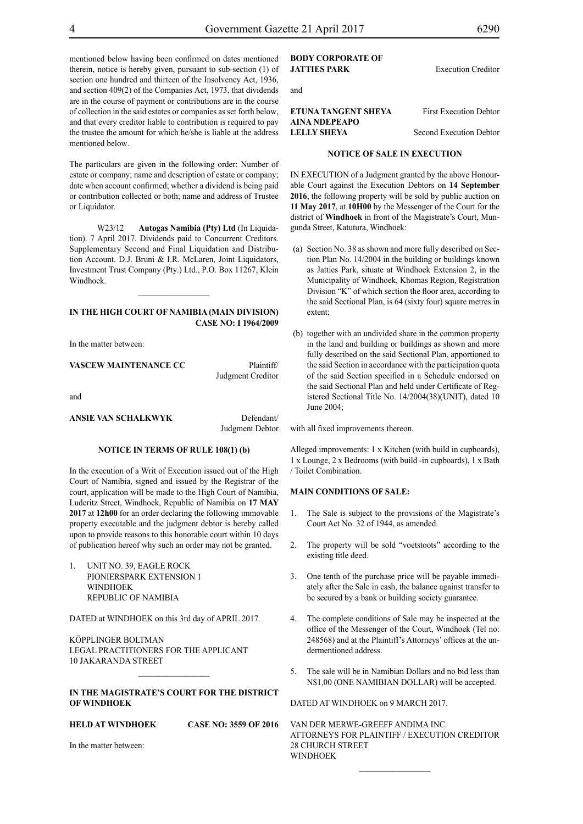mentioned below having been confirmed on dates mentioned therein, notice is hereby given, pursuant to sub-section (1) of section one hundred and thirteen of the Insolvency Act, 1936, and section 409(2) of the Companies Act, 1973, that dividends are in the course of payment or contributions are in the course of collection in the said estates or companies as set forth below, and that every creditor liable to contribution is required to pay the trustee the amount for which he/she is liable at the address mentioned below.

The particulars are given in the following order: Number of estate or company; name and description of estate or company; date when account confirmed; whether a dividend is being paid or contribution collected or both; name and address of Trustee or Liquidator.

W23/12 **Autogas Namibia (Pty) Ltd** (In Liquidation). 7 April 2017. Dividends paid to Concurrent Creditors. Supplementary Second and Final Liquidation and Distribution Account. D.J. Bruni & I.R. McLaren, Joint Liquidators, Investment Trust Company (Pty.) Ltd., P.O. Box 11267, Klein Windhoek.

#### **IN THE HIGH COURT OF NAMIBIA (Main Division) CASE NO: I 1964/2009**

 $\frac{1}{2}$ 

In the matter between:

**VASCEW MAINTENANCE CC** Plaintiff/ Judgment Creditor

and

# **ANSIE VAN SCHALKWYK** Defendant/

Judgment Debtor

# **NOTICE IN TERMS OF RULE 108(1) (b)**

In the execution of a Writ of Execution issued out of the High Court of Namibia, signed and issued by the Registrar of the court, application will be made to the High Court of Namibia, Luderitz Street, Windhoek, Republic of Namibia on **17 MAY 2017** at **12h00** for an order declaring the following immovable property executable and the judgment debtor is hereby called upon to provide reasons to this honorable court within 10 days of publication hereof why such an order may not be granted.

1. UNIT NO. 39, EAGLE ROCK PIONIERSPARK EXTENSION 1 **WINDHOFK** REPUBLIC OF NAMIBIA

DATED at WINDHOEK on this 3rd day of APRIL 2017.

KÖPPLINGER BOLTMAN Legal practitioners for the Applicant 10 Jakaranda Street

# **IN THE MAGISTRATE'S COURT FOR THE DISTRICT OF WINDHOEK**

# **HELD AT WINDHOEK CASE NO: 3559 OF 2016**

In the matter between:

# **BODY CORPORATE OF JATTIES PARK** Execution Creditor

and

# **ETUNA TANGENT SHEYA** First Execution Debtor **AINA NDEPEAPO LELLY SHEYA** Second Execution Debtor

## **NOTICE OF SALE IN EXECUTION**

IN EXECUTION of a Judgment granted by the above Honourable Court against the Execution Debtors on **14 September 2016**, the following property will be sold by public auction on **11 May 2017**, at **10H00** by the Messenger of the Court for the district of **Windhoek** in front of the Magistrate's Court, Mungunda Street, Katutura, Windhoek:

- (a) Section No. 38 as shown and more fully described on Section Plan No. 14/2004 in the building or buildings known as Jatties Park, situate at Windhoek Extension 2, in the Municipality of Windhoek, Khomas Region, Registration Division "K" of which section the floor area, according to the said Sectional Plan, is 64 (sixty four) square metres in extent;
- (b) together with an undivided share in the common property in the land and building or buildings as shown and more fully described on the said Sectional Plan, apportioned to the said Section in accordance with the participation quota of the said Section specified in a Schedule endorsed on the said Sectional Plan and held under Certificate of Registered Sectional Title No. 14/2004(38)(UNIT), dated 10 June 2004;

with all fixed improvements thereon.

Alleged improvements: 1 x Kitchen (with build in cupboards), 1 x Lounge, 2 x Bedrooms (with build -in cupboards), 1 x Bath / Toilet Combination.

## **MAIN CONDITIONS OF SALE:**

- 1. The Sale is subject to the provisions of the Magistrate's Court Act No. 32 of 1944, as amended.
- 2. The property will be sold "voetstoots" according to the existing title deed.
- 3. One tenth of the purchase price will be payable immediately after the Sale in cash, the balance against transfer to be secured by a bank or building society guarantee.
- 4. The complete conditions of Sale may be inspected at the office of the Messenger of the Court, Windhoek (Tel no: 248568) and at the Plaintiff's Attorneys' offices at the undermentioned address.
- 5. The sale will be in Namibian Dollars and no bid less than N\$1,00 (ONE NAMIBIAN DOLLAR) will be accepted.

DATED AT WINDHOEK on 9 MARCH 2017.

VAN DER MERWE-GREEFF ANDIMA INC. ATTORNEYS FOR PLAINTIFF / EXECUTION CREDITOR 28 CHURCH STREET WINDHOEK

 $\frac{1}{2}$